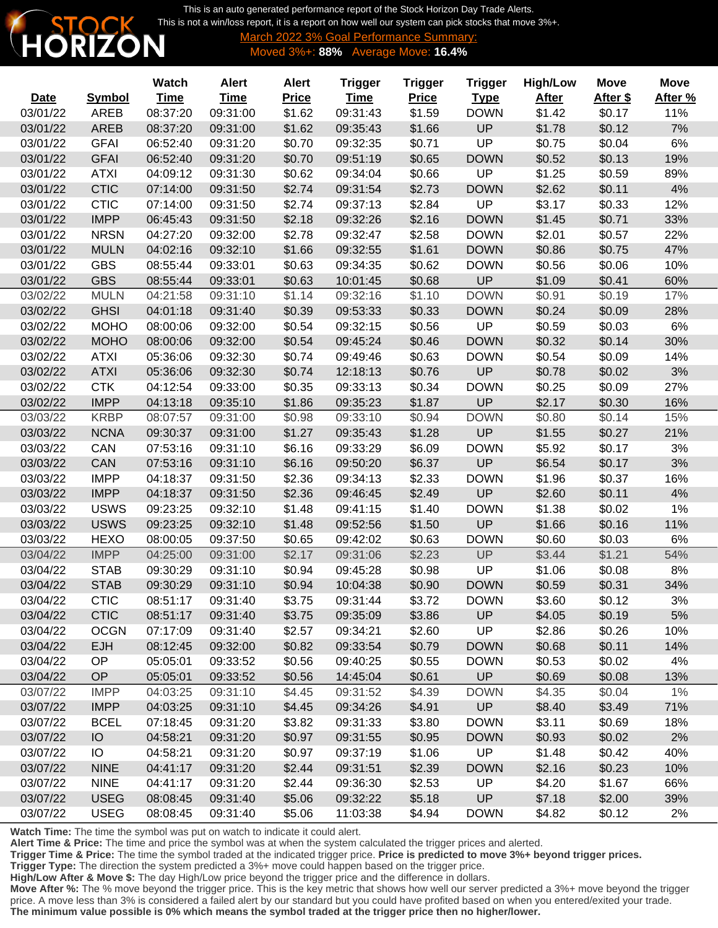This is an auto generated performance report of the Stock Horizon Day Trade Alerts. [This is not a win/loss report, it is a report on how well our system can pick stocks that move 3%+.](http://www.stockhorizon.com)



**6 Goal Performance Summary:** Moved 3%+: **88%** Average Move: **16.4%**

|             |               | <b>Watch</b> | <b>Alert</b> | <b>Alert</b> | <b>Trigger</b> | <b>Trigger</b> | <b>Trigger</b> | <b>High/Low</b> | <b>Move</b> | <b>Move</b> |
|-------------|---------------|--------------|--------------|--------------|----------------|----------------|----------------|-----------------|-------------|-------------|
| <b>Date</b> | <b>Symbol</b> | <b>Time</b>  | <b>Time</b>  | <b>Price</b> | <b>Time</b>    | <b>Price</b>   | <b>Type</b>    | <b>After</b>    | After \$    | After %     |
| 03/01/22    | <b>AREB</b>   | 08:37:20     | 09:31:00     | \$1.62       | 09:31:43       | \$1.59         | <b>DOWN</b>    | \$1.42          | \$0.17      | 11%         |
| 03/01/22    | <b>AREB</b>   | 08:37:20     | 09:31:00     | \$1.62       | 09:35:43       | \$1.66         | UP             | \$1.78          | \$0.12      | 7%          |
| 03/01/22    | <b>GFAI</b>   | 06:52:40     | 09:31:20     | \$0.70       | 09:32:35       | \$0.71         | UP             | \$0.75          | \$0.04      | 6%          |
| 03/01/22    | <b>GFAI</b>   | 06:52:40     | 09:31:20     | \$0.70       | 09:51:19       | \$0.65         | <b>DOWN</b>    | \$0.52          | \$0.13      | 19%         |
| 03/01/22    | <b>ATXI</b>   | 04:09:12     | 09:31:30     | \$0.62       | 09:34:04       | \$0.66         | UP             | \$1.25          | \$0.59      | 89%         |
| 03/01/22    | <b>CTIC</b>   | 07:14:00     | 09:31:50     | \$2.74       | 09:31:54       | \$2.73         | <b>DOWN</b>    | \$2.62          | \$0.11      | 4%          |
| 03/01/22    | <b>CTIC</b>   | 07:14:00     | 09:31:50     | \$2.74       | 09:37:13       | \$2.84         | UP             | \$3.17          | \$0.33      | 12%         |
| 03/01/22    | <b>IMPP</b>   | 06:45:43     | 09:31:50     | \$2.18       | 09:32:26       | \$2.16         | <b>DOWN</b>    | \$1.45          | \$0.71      | 33%         |
| 03/01/22    | <b>NRSN</b>   | 04:27:20     | 09:32:00     | \$2.78       | 09:32:47       | \$2.58         | <b>DOWN</b>    | \$2.01          | \$0.57      | 22%         |
| 03/01/22    | <b>MULN</b>   | 04:02:16     | 09:32:10     | \$1.66       | 09:32:55       | \$1.61         | <b>DOWN</b>    | \$0.86          | \$0.75      | 47%         |
| 03/01/22    | <b>GBS</b>    | 08:55:44     | 09:33:01     | \$0.63       | 09:34:35       | \$0.62         | <b>DOWN</b>    | \$0.56          | \$0.06      | 10%         |
| 03/01/22    | <b>GBS</b>    | 08:55:44     | 09:33:01     | \$0.63       | 10:01:45       | \$0.68         | UP             | \$1.09          | \$0.41      | 60%         |
| 03/02/22    | <b>MULN</b>   | 04:21:58     | 09:31:10     | \$1.14       | 09:32:16       | \$1.10         | <b>DOWN</b>    | \$0.91          | \$0.19      | 17%         |
| 03/02/22    | <b>GHSI</b>   | 04:01:18     | 09:31:40     | \$0.39       | 09:53:33       | \$0.33         | <b>DOWN</b>    | \$0.24          | \$0.09      | 28%         |
| 03/02/22    | <b>MOHO</b>   | 08:00:06     | 09:32:00     | \$0.54       | 09:32:15       | \$0.56         | UP             | \$0.59          | \$0.03      | 6%          |
| 03/02/22    | <b>MOHO</b>   | 08:00:06     | 09:32:00     | \$0.54       | 09:45:24       | \$0.46         | <b>DOWN</b>    | \$0.32          | \$0.14      | 30%         |
| 03/02/22    | <b>ATXI</b>   | 05:36:06     | 09:32:30     | \$0.74       | 09:49:46       | \$0.63         | <b>DOWN</b>    | \$0.54          | \$0.09      | 14%         |
| 03/02/22    | <b>ATXI</b>   | 05:36:06     | 09:32:30     | \$0.74       | 12:18:13       | \$0.76         | UP             | \$0.78          | \$0.02      | 3%          |
| 03/02/22    | <b>CTK</b>    | 04:12:54     | 09:33:00     | \$0.35       | 09:33:13       | \$0.34         | <b>DOWN</b>    | \$0.25          | \$0.09      | 27%         |
| 03/02/22    | <b>IMPP</b>   | 04:13:18     | 09:35:10     | \$1.86       | 09:35:23       | \$1.87         | UP             | \$2.17          | \$0.30      | 16%         |
| 03/03/22    | <b>KRBP</b>   | 08:07:57     | 09:31:00     | \$0.98       | 09:33:10       | \$0.94         | <b>DOWN</b>    | \$0.80          | \$0.14      | 15%         |
| 03/03/22    | <b>NCNA</b>   | 09:30:37     | 09:31:00     | \$1.27       | 09:35:43       | \$1.28         | UP             | \$1.55          | \$0.27      | 21%         |
| 03/03/22    | CAN           | 07:53:16     | 09:31:10     | \$6.16       | 09:33:29       | \$6.09         | <b>DOWN</b>    | \$5.92          | \$0.17      | 3%          |
| 03/03/22    | <b>CAN</b>    | 07:53:16     | 09:31:10     | \$6.16       | 09:50:20       | \$6.37         | UP             | \$6.54          | \$0.17      | 3%          |
| 03/03/22    | <b>IMPP</b>   | 04:18:37     | 09:31:50     | \$2.36       | 09:34:13       | \$2.33         | <b>DOWN</b>    | \$1.96          | \$0.37      | 16%         |
| 03/03/22    | <b>IMPP</b>   | 04:18:37     | 09:31:50     | \$2.36       | 09:46:45       | \$2.49         | UP             | \$2.60          | \$0.11      | 4%          |
| 03/03/22    | <b>USWS</b>   | 09:23:25     | 09:32:10     | \$1.48       | 09:41:15       | \$1.40         | <b>DOWN</b>    | \$1.38          | \$0.02      | 1%          |
| 03/03/22    | <b>USWS</b>   | 09:23:25     | 09:32:10     | \$1.48       | 09:52:56       | \$1.50         | UP             | \$1.66          | \$0.16      | 11%         |
| 03/03/22    | <b>HEXO</b>   | 08:00:05     | 09:37:50     | \$0.65       | 09:42:02       | \$0.63         | <b>DOWN</b>    | \$0.60          | \$0.03      | 6%          |
| 03/04/22    | <b>IMPP</b>   | 04:25:00     | 09:31:00     | \$2.17       | 09:31:06       | \$2.23         | UP             | \$3.44          | \$1.21      | 54%         |
| 03/04/22    | <b>STAB</b>   | 09:30:29     | 09:31:10     | \$0.94       | 09:45:28       | \$0.98         | UP             | \$1.06          | \$0.08      | 8%          |
| 03/04/22    | <b>STAB</b>   | 09:30:29     | 09:31:10     | \$0.94       | 10:04:38       | \$0.90         | <b>DOWN</b>    | \$0.59          | \$0.31      | 34%         |
| 03/04/22    | <b>CTIC</b>   | 08:51:17     | 09:31:40     | \$3.75       | 09:31:44       | \$3.72         | <b>DOWN</b>    | \$3.60          | \$0.12      | 3%          |
| 03/04/22    | <b>CTIC</b>   | 08:51:17     | 09:31:40     | \$3.75       | 09:35:09       | \$3.86         | UP             | \$4.05          | \$0.19      | 5%          |
| 03/04/22    | <b>OCGN</b>   | 07:17:09     | 09:31:40     | \$2.57       | 09:34:21       | \$2.60         | UP             | \$2.86          | \$0.26      | 10%         |
| 03/04/22    | <b>EJH</b>    | 08:12:45     | 09:32:00     | \$0.82       | 09:33:54       | \$0.79         | <b>DOWN</b>    | \$0.68          | \$0.11      | 14%         |
| 03/04/22    | OP            | 05:05:01     | 09:33:52     | \$0.56       | 09:40:25       | \$0.55         | <b>DOWN</b>    | \$0.53          | \$0.02      | 4%          |
| 03/04/22    | <b>OP</b>     | 05:05:01     | 09:33:52     | \$0.56       | 14:45:04       | \$0.61         | UP             | \$0.69          | \$0.08      | 13%         |
| 03/07/22    | <b>IMPP</b>   | 04:03:25     | 09:31:10     | \$4.45       | 09:31:52       | \$4.39         | <b>DOWN</b>    | \$4.35          | \$0.04      | $1\%$       |
| 03/07/22    | <b>IMPP</b>   | 04:03:25     | 09:31:10     | \$4.45       | 09:34:26       | \$4.91         | UP             | \$8.40          | \$3.49      | 71%         |
| 03/07/22    | <b>BCEL</b>   | 07:18:45     | 09:31:20     | \$3.82       | 09:31:33       | \$3.80         | <b>DOWN</b>    | \$3.11          | \$0.69      | 18%         |
| 03/07/22    | IO            | 04:58:21     | 09:31:20     | \$0.97       | 09:31:55       | \$0.95         | <b>DOWN</b>    | \$0.93          | \$0.02      | 2%          |
| 03/07/22    | IO            | 04:58:21     | 09:31:20     | \$0.97       | 09:37:19       | \$1.06         | UP             | \$1.48          | \$0.42      | 40%         |
| 03/07/22    | <b>NINE</b>   | 04:41:17     | 09:31:20     | \$2.44       | 09:31:51       | \$2.39         | <b>DOWN</b>    | \$2.16          | \$0.23      | 10%         |
| 03/07/22    | <b>NINE</b>   | 04:41:17     | 09:31:20     | \$2.44       | 09:36:30       | \$2.53         | UP             | \$4.20          | \$1.67      | 66%         |
| 03/07/22    | <b>USEG</b>   | 08:08:45     | 09:31:40     | \$5.06       | 09:32:22       | \$5.18         | UP             | \$7.18          | \$2.00      | 39%         |
| 03/07/22    | <b>USEG</b>   | 08:08:45     | 09:31:40     | \$5.06       | 11:03:38       | \$4.94         | <b>DOWN</b>    | \$4.82          | \$0.12      | 2%          |

**Watch Time:** The time the symbol was put on watch to indicate it could alert.

**Alert Time & Price:** The time and price the symbol was at when the system calculated the trigger prices and alerted.

**Trigger Time & Price:** The time the symbol traded at the indicated trigger price. **Price is predicted to move 3%+ beyond trigger prices.**

**Trigger Type:** The direction the system predicted a 3%+ move could happen based on the trigger price.

**High/Low After & Move \$:** The day High/Low price beyond the trigger price and the difference in dollars.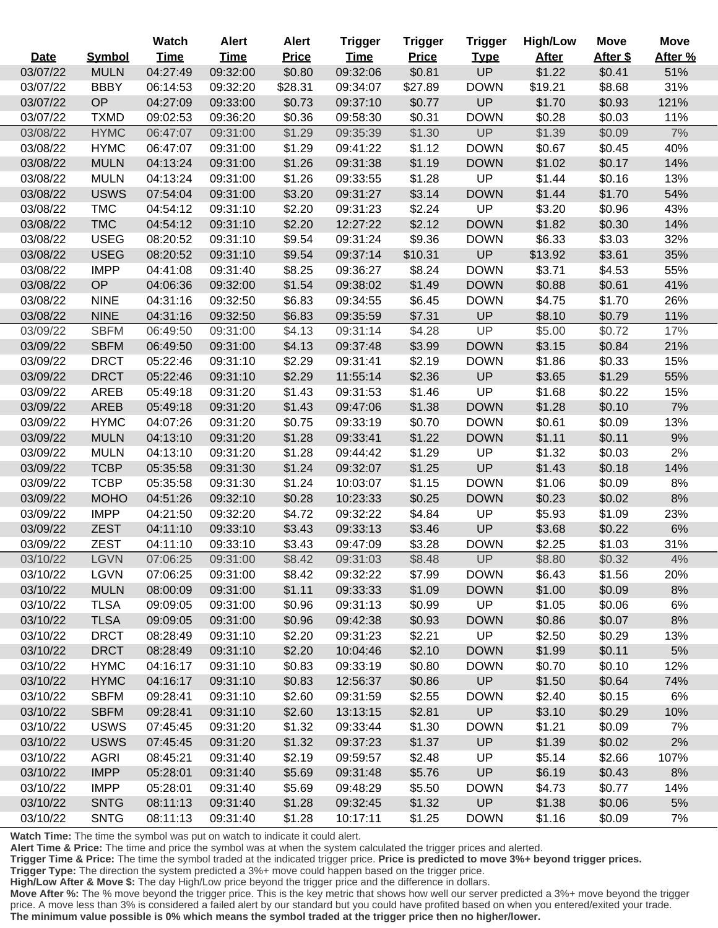|             |               | Watch       | <b>Alert</b> | <b>Alert</b> | <b>Trigger</b> | <b>Trigger</b> | <b>Trigger</b> | <b>High/Low</b> | <b>Move</b> | <b>Move</b> |
|-------------|---------------|-------------|--------------|--------------|----------------|----------------|----------------|-----------------|-------------|-------------|
| <b>Date</b> | <b>Symbol</b> | <b>Time</b> | <b>Time</b>  | <b>Price</b> | <b>Time</b>    | <b>Price</b>   | <b>Type</b>    | <b>After</b>    | After \$    | After %     |
| 03/07/22    | <b>MULN</b>   | 04:27:49    | 09:32:00     | \$0.80       | 09:32:06       | \$0.81         | <b>UP</b>      | \$1.22          | \$0.41      | 51%         |
| 03/07/22    | <b>BBBY</b>   | 06:14:53    | 09:32:20     | \$28.31      | 09:34:07       | \$27.89        | <b>DOWN</b>    | \$19.21         | \$8.68      | 31%         |
| 03/07/22    | OP            | 04:27:09    | 09:33:00     | \$0.73       | 09:37:10       | \$0.77         | UP             | \$1.70          | \$0.93      | 121%        |
| 03/07/22    | <b>TXMD</b>   | 09:02:53    | 09:36:20     | \$0.36       | 09:58:30       | \$0.31         | <b>DOWN</b>    | \$0.28          | \$0.03      | 11%         |
| 03/08/22    | <b>HYMC</b>   | 06:47:07    | 09:31:00     | \$1.29       | 09:35:39       | \$1.30         | UP             | \$1.39          | \$0.09      | 7%          |
| 03/08/22    | <b>HYMC</b>   | 06:47:07    | 09:31:00     | \$1.29       | 09:41:22       | \$1.12         | <b>DOWN</b>    | \$0.67          | \$0.45      | 40%         |
| 03/08/22    | <b>MULN</b>   | 04:13:24    | 09:31:00     | \$1.26       | 09:31:38       | \$1.19         | <b>DOWN</b>    | \$1.02          | \$0.17      | 14%         |
| 03/08/22    | <b>MULN</b>   | 04:13:24    | 09:31:00     | \$1.26       | 09:33:55       | \$1.28         | UP             | \$1.44          | \$0.16      | 13%         |
| 03/08/22    | <b>USWS</b>   | 07:54:04    | 09:31:00     | \$3.20       | 09:31:27       | \$3.14         | <b>DOWN</b>    | \$1.44          | \$1.70      | 54%         |
| 03/08/22    | <b>TMC</b>    | 04:54:12    | 09:31:10     | \$2.20       | 09:31:23       | \$2.24         | UP             | \$3.20          | \$0.96      | 43%         |
| 03/08/22    | <b>TMC</b>    | 04:54:12    | 09:31:10     | \$2.20       | 12:27:22       | \$2.12         | <b>DOWN</b>    | \$1.82          | \$0.30      | 14%         |
| 03/08/22    | <b>USEG</b>   | 08:20:52    | 09:31:10     | \$9.54       | 09:31:24       | \$9.36         | <b>DOWN</b>    | \$6.33          | \$3.03      | 32%         |
| 03/08/22    | <b>USEG</b>   | 08:20:52    | 09:31:10     | \$9.54       | 09:37:14       | \$10.31        | UP             | \$13.92         | \$3.61      | 35%         |
| 03/08/22    | <b>IMPP</b>   | 04:41:08    | 09:31:40     | \$8.25       | 09:36:27       | \$8.24         | <b>DOWN</b>    | \$3.71          | \$4.53      | 55%         |
| 03/08/22    | OP            | 04:06:36    | 09:32:00     | \$1.54       | 09:38:02       | \$1.49         | <b>DOWN</b>    | \$0.88          | \$0.61      | 41%         |
| 03/08/22    | <b>NINE</b>   | 04:31:16    | 09:32:50     | \$6.83       | 09:34:55       | \$6.45         | <b>DOWN</b>    | \$4.75          | \$1.70      | 26%         |
| 03/08/22    | <b>NINE</b>   | 04:31:16    | 09:32:50     | \$6.83       | 09:35:59       | \$7.31         | <b>UP</b>      | \$8.10          | \$0.79      | 11%         |
| 03/09/22    | <b>SBFM</b>   | 06:49:50    | 09:31:00     | \$4.13       | 09:31:14       | \$4.28         | <b>UP</b>      | \$5.00          | \$0.72      | 17%         |
| 03/09/22    | <b>SBFM</b>   | 06:49:50    | 09:31:00     | \$4.13       | 09:37:48       | \$3.99         | <b>DOWN</b>    | \$3.15          | \$0.84      | 21%         |
| 03/09/22    | <b>DRCT</b>   | 05:22:46    | 09:31:10     | \$2.29       | 09:31:41       | \$2.19         | <b>DOWN</b>    | \$1.86          | \$0.33      | 15%         |
| 03/09/22    | <b>DRCT</b>   | 05:22:46    | 09:31:10     | \$2.29       | 11:55:14       | \$2.36         | <b>UP</b>      | \$3.65          | \$1.29      | 55%         |
| 03/09/22    | <b>AREB</b>   | 05:49:18    | 09:31:20     | \$1.43       | 09:31:53       | \$1.46         | UP             | \$1.68          | \$0.22      | 15%         |
| 03/09/22    | <b>AREB</b>   | 05:49:18    | 09:31:20     | \$1.43       | 09:47:06       | \$1.38         | <b>DOWN</b>    | \$1.28          | \$0.10      | 7%          |
| 03/09/22    | <b>HYMC</b>   | 04:07:26    | 09:31:20     | \$0.75       | 09:33:19       | \$0.70         | <b>DOWN</b>    | \$0.61          | \$0.09      | 13%         |
| 03/09/22    | <b>MULN</b>   | 04:13:10    | 09:31:20     | \$1.28       | 09:33:41       | \$1.22         | <b>DOWN</b>    | \$1.11          | \$0.11      | 9%          |
| 03/09/22    | <b>MULN</b>   | 04:13:10    | 09:31:20     | \$1.28       | 09:44:42       | \$1.29         | UP             | \$1.32          | \$0.03      | 2%          |
| 03/09/22    | <b>TCBP</b>   | 05:35:58    | 09:31:30     | \$1.24       | 09:32:07       | \$1.25         | UP             | \$1.43          | \$0.18      | 14%         |
| 03/09/22    | <b>TCBP</b>   | 05:35:58    | 09:31:30     | \$1.24       | 10:03:07       | \$1.15         | <b>DOWN</b>    | \$1.06          | \$0.09      | 8%          |
| 03/09/22    | <b>MOHO</b>   | 04:51:26    | 09:32:10     | \$0.28       | 10:23:33       | \$0.25         | <b>DOWN</b>    | \$0.23          | \$0.02      | 8%          |
| 03/09/22    | <b>IMPP</b>   | 04:21:50    | 09:32:20     | \$4.72       | 09:32:22       | \$4.84         | UP             | \$5.93          | \$1.09      | 23%         |
| 03/09/22    | <b>ZEST</b>   | 04:11:10    | 09:33:10     | \$3.43       | 09:33:13       | \$3.46         | UP             | \$3.68          | \$0.22      | 6%          |
| 03/09/22    | <b>ZEST</b>   | 04:11:10    | 09:33:10     | \$3.43       | 09:47:09       | \$3.28         | <b>DOWN</b>    | \$2.25          | \$1.03      | 31%         |
| 03/10/22    | <b>LGVN</b>   | 07:06:25    | 09:31:00     | \$8.42       | 09:31:03       | \$8.48         | <b>UP</b>      | \$8.80          | \$0.32      | $4\%$       |
| 03/10/22    | <b>LGVN</b>   | 07:06:25    | 09:31:00     | \$8.42       | 09:32:22       | \$7.99         | <b>DOWN</b>    | \$6.43          | \$1.56      | 20%         |
| 03/10/22    | <b>MULN</b>   | 08:00:09    | 09:31:00     | \$1.11       | 09:33:33       | \$1.09         | <b>DOWN</b>    | \$1.00          | \$0.09      | 8%          |
| 03/10/22    | <b>TLSA</b>   | 09:09:05    | 09:31:00     | \$0.96       | 09:31:13       | \$0.99         | UP             | \$1.05          | \$0.06      | 6%          |
| 03/10/22    | <b>TLSA</b>   | 09:09:05    | 09:31:00     | \$0.96       | 09:42:38       | \$0.93         | <b>DOWN</b>    | \$0.86          | \$0.07      | 8%          |
| 03/10/22    | <b>DRCT</b>   | 08:28:49    | 09:31:10     | \$2.20       | 09:31:23       | \$2.21         | UP             | \$2.50          | \$0.29      | 13%         |
| 03/10/22    | <b>DRCT</b>   | 08:28:49    | 09:31:10     | \$2.20       | 10:04:46       | \$2.10         | <b>DOWN</b>    | \$1.99          | \$0.11      | 5%          |
| 03/10/22    | <b>HYMC</b>   | 04:16:17    | 09:31:10     | \$0.83       | 09:33:19       | \$0.80         | <b>DOWN</b>    | \$0.70          | \$0.10      | 12%         |
| 03/10/22    | <b>HYMC</b>   | 04:16:17    | 09:31:10     | \$0.83       | 12:56:37       | \$0.86         | <b>UP</b>      | \$1.50          | \$0.64      | 74%         |
| 03/10/22    | <b>SBFM</b>   | 09:28:41    | 09:31:10     | \$2.60       | 09:31:59       | \$2.55         | <b>DOWN</b>    | \$2.40          | \$0.15      | 6%          |
| 03/10/22    | <b>SBFM</b>   | 09:28:41    | 09:31:10     | \$2.60       | 13:13:15       | \$2.81         | UP             | \$3.10          | \$0.29      | 10%         |
| 03/10/22    | <b>USWS</b>   | 07:45:45    | 09:31:20     | \$1.32       | 09:33:44       | \$1.30         | <b>DOWN</b>    | \$1.21          | \$0.09      | 7%          |
| 03/10/22    | <b>USWS</b>   | 07:45:45    | 09:31:20     | \$1.32       | 09:37:23       | \$1.37         | <b>UP</b>      | \$1.39          | \$0.02      | 2%          |
| 03/10/22    | <b>AGRI</b>   | 08:45:21    | 09:31:40     | \$2.19       | 09:59:57       | \$2.48         | UP             | \$5.14          | \$2.66      | 107%        |
| 03/10/22    | <b>IMPP</b>   | 05:28:01    | 09:31:40     | \$5.69       | 09:31:48       | \$5.76         | <b>UP</b>      | \$6.19          | \$0.43      | 8%          |
| 03/10/22    | <b>IMPP</b>   | 05:28:01    | 09:31:40     | \$5.69       | 09:48:29       | \$5.50         | <b>DOWN</b>    | \$4.73          | \$0.77      | 14%         |
| 03/10/22    | <b>SNTG</b>   | 08:11:13    | 09:31:40     | \$1.28       | 09:32:45       | \$1.32         | <b>UP</b>      | \$1.38          | \$0.06      | 5%          |
| 03/10/22    | <b>SNTG</b>   | 08:11:13    | 09:31:40     | \$1.28       | 10:17:11       | \$1.25         | <b>DOWN</b>    | \$1.16          | \$0.09      | 7%          |

Ī

٦

**Alert Time & Price:** The time and price the symbol was at when the system calculated the trigger prices and alerted.

**Trigger Time & Price:** The time the symbol traded at the indicated trigger price. **Price is predicted to move 3%+ beyond trigger prices.**

**Trigger Type:** The direction the system predicted a 3%+ move could happen based on the trigger price.

**High/Low After & Move \$:** The day High/Low price beyond the trigger price and the difference in dollars.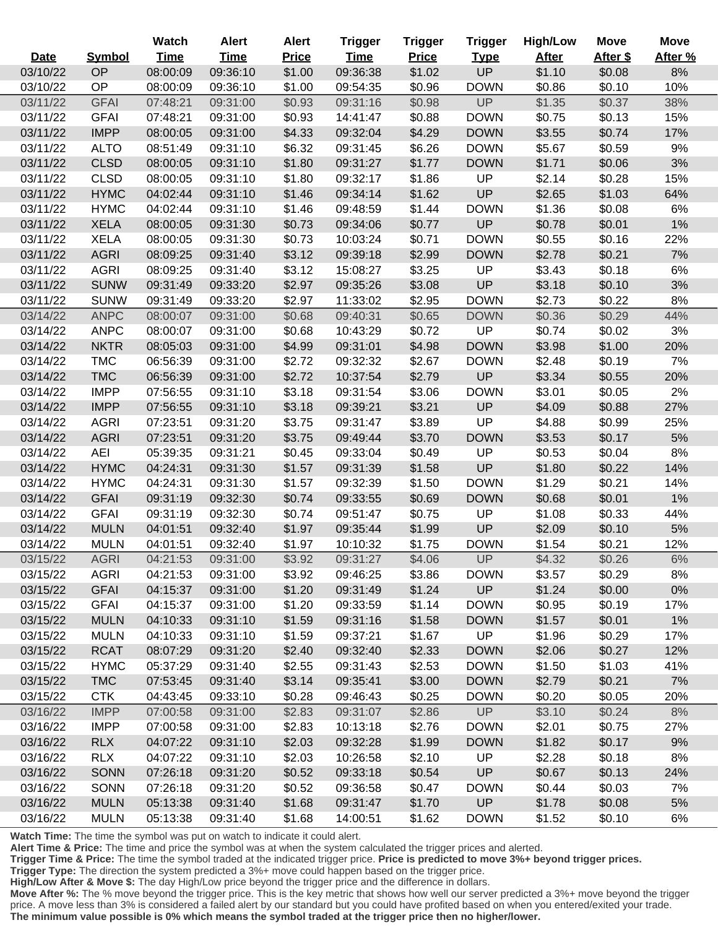|          |               | Watch       | <b>Alert</b> | <b>Alert</b> | Trigger     | <b>Trigger</b> | <b>Trigger</b> | <b>High/Low</b> | <b>Move</b> | <b>Move</b> |
|----------|---------------|-------------|--------------|--------------|-------------|----------------|----------------|-----------------|-------------|-------------|
| Date     | <b>Symbol</b> | <b>Time</b> | <b>Time</b>  | <b>Price</b> | <b>Time</b> | <b>Price</b>   | <b>Type</b>    | <b>After</b>    | After \$    | After %     |
| 03/10/22 | OP            | 08:00:09    | 09:36:10     | \$1.00       | 09:36:38    | \$1.02         | UP             | \$1.10          | \$0.08      | 8%          |
| 03/10/22 | OP            | 08:00:09    | 09:36:10     | \$1.00       | 09:54:35    | \$0.96         | <b>DOWN</b>    | \$0.86          | \$0.10      | 10%         |
| 03/11/22 | <b>GFAI</b>   | 07:48:21    | 09:31:00     | \$0.93       | 09:31:16    | \$0.98         | UP             | \$1.35          | \$0.37      | 38%         |
| 03/11/22 | <b>GFAI</b>   | 07:48:21    | 09:31:00     | \$0.93       | 14:41:47    | \$0.88         | <b>DOWN</b>    | \$0.75          | \$0.13      | 15%         |
| 03/11/22 | <b>IMPP</b>   | 08:00:05    | 09:31:00     | \$4.33       | 09:32:04    | \$4.29         | <b>DOWN</b>    | \$3.55          | \$0.74      | 17%         |
| 03/11/22 | <b>ALTO</b>   | 08:51:49    | 09:31:10     | \$6.32       | 09:31:45    | \$6.26         | <b>DOWN</b>    | \$5.67          | \$0.59      | 9%          |
| 03/11/22 | <b>CLSD</b>   | 08:00:05    | 09:31:10     | \$1.80       | 09:31:27    | \$1.77         | <b>DOWN</b>    | \$1.71          | \$0.06      | 3%          |
| 03/11/22 | <b>CLSD</b>   | 08:00:05    | 09:31:10     | \$1.80       | 09:32:17    | \$1.86         | UP             | \$2.14          | \$0.28      | 15%         |
| 03/11/22 | <b>HYMC</b>   | 04:02:44    | 09:31:10     | \$1.46       | 09:34:14    | \$1.62         | UP             | \$2.65          | \$1.03      | 64%         |
| 03/11/22 | <b>HYMC</b>   | 04:02:44    | 09:31:10     | \$1.46       | 09:48:59    | \$1.44         | <b>DOWN</b>    | \$1.36          | \$0.08      | 6%          |
| 03/11/22 | <b>XELA</b>   | 08:00:05    | 09:31:30     | \$0.73       | 09:34:06    | \$0.77         | UP             | \$0.78          | \$0.01      | 1%          |
| 03/11/22 | <b>XELA</b>   | 08:00:05    | 09:31:30     | \$0.73       | 10:03:24    | \$0.71         | <b>DOWN</b>    | \$0.55          | \$0.16      | 22%         |
| 03/11/22 | <b>AGRI</b>   | 08:09:25    | 09:31:40     | \$3.12       | 09:39:18    | \$2.99         | <b>DOWN</b>    | \$2.78          | \$0.21      | 7%          |
| 03/11/22 | <b>AGRI</b>   | 08:09:25    | 09:31:40     | \$3.12       | 15:08:27    | \$3.25         | UP             | \$3.43          | \$0.18      | 6%          |
| 03/11/22 | <b>SUNW</b>   | 09:31:49    | 09:33:20     | \$2.97       | 09:35:26    | \$3.08         | UP             | \$3.18          | \$0.10      | 3%          |
| 03/11/22 | <b>SUNW</b>   | 09:31:49    | 09:33:20     | \$2.97       | 11:33:02    | \$2.95         | <b>DOWN</b>    | \$2.73          | \$0.22      | 8%          |
| 03/14/22 | <b>ANPC</b>   | 08:00:07    | 09:31:00     | \$0.68       | 09:40:31    | \$0.65         | <b>DOWN</b>    | \$0.36          | \$0.29      | 44%         |
| 03/14/22 | <b>ANPC</b>   | 08:00:07    | 09:31:00     | \$0.68       | 10:43:29    | \$0.72         | UP             | \$0.74          | \$0.02      | 3%          |
| 03/14/22 | <b>NKTR</b>   | 08:05:03    | 09:31:00     | \$4.99       | 09:31:01    | \$4.98         | <b>DOWN</b>    | \$3.98          | \$1.00      | 20%         |
| 03/14/22 | <b>TMC</b>    | 06:56:39    | 09:31:00     | \$2.72       | 09:32:32    | \$2.67         | <b>DOWN</b>    | \$2.48          | \$0.19      | 7%          |
| 03/14/22 | <b>TMC</b>    | 06:56:39    | 09:31:00     | \$2.72       | 10:37:54    | \$2.79         | UP             | \$3.34          | \$0.55      | 20%         |
| 03/14/22 | <b>IMPP</b>   | 07:56:55    | 09:31:10     | \$3.18       | 09:31:54    | \$3.06         | <b>DOWN</b>    | \$3.01          | \$0.05      | 2%          |
| 03/14/22 | <b>IMPP</b>   | 07:56:55    | 09:31:10     | \$3.18       | 09:39:21    | \$3.21         | <b>UP</b>      | \$4.09          | \$0.88      | 27%         |
| 03/14/22 | <b>AGRI</b>   | 07:23:51    | 09:31:20     | \$3.75       | 09:31:47    | \$3.89         | UP             | \$4.88          | \$0.99      | 25%         |
| 03/14/22 | <b>AGRI</b>   | 07:23:51    | 09:31:20     | \$3.75       | 09:49:44    | \$3.70         | <b>DOWN</b>    | \$3.53          | \$0.17      | 5%          |
| 03/14/22 | <b>AEI</b>    | 05:39:35    | 09:31:21     | \$0.45       | 09:33:04    | \$0.49         | UP             | \$0.53          | \$0.04      | 8%          |
| 03/14/22 | <b>HYMC</b>   | 04:24:31    | 09:31:30     | \$1.57       | 09:31:39    | \$1.58         | UP             | \$1.80          | \$0.22      | 14%         |
| 03/14/22 | <b>HYMC</b>   | 04:24:31    | 09:31:30     | \$1.57       | 09:32:39    | \$1.50         | <b>DOWN</b>    | \$1.29          | \$0.21      | 14%         |
| 03/14/22 | <b>GFAI</b>   | 09:31:19    | 09:32:30     | \$0.74       | 09:33:55    | \$0.69         | <b>DOWN</b>    | \$0.68          | \$0.01      | 1%          |
| 03/14/22 | <b>GFAI</b>   | 09:31:19    | 09:32:30     | \$0.74       | 09:51:47    | \$0.75         | UP             | \$1.08          | \$0.33      | 44%         |
| 03/14/22 | <b>MULN</b>   | 04:01:51    | 09:32:40     | \$1.97       | 09:35:44    | \$1.99         | UP             | \$2.09          | \$0.10      | 5%          |
| 03/14/22 | <b>MULN</b>   | 04:01:51    | 09:32:40     | \$1.97       | 10:10:32    | \$1.75         | <b>DOWN</b>    | \$1.54          | \$0.21      | 12%         |
| 03/15/22 | <b>AGRI</b>   | 04:21:53    | 09:31:00     | \$3.92       | 09:31:27    | \$4.06         | <b>UP</b>      | \$4.32          | \$0.26      | $6\%$       |
| 03/15/22 | <b>AGRI</b>   | 04:21:53    | 09:31:00     | \$3.92       | 09:46:25    | \$3.86         | <b>DOWN</b>    | \$3.57          | \$0.29      | 8%          |
| 03/15/22 | <b>GFAI</b>   | 04:15:37    | 09:31:00     | \$1.20       | 09:31:49    | \$1.24         | <b>UP</b>      | \$1.24          | \$0.00      | $0\%$       |
| 03/15/22 | <b>GFAI</b>   | 04:15:37    | 09:31:00     | \$1.20       | 09:33:59    | \$1.14         | <b>DOWN</b>    | \$0.95          | \$0.19      | 17%         |
| 03/15/22 | <b>MULN</b>   | 04:10:33    | 09:31:10     | \$1.59       | 09:31:16    | \$1.58         | <b>DOWN</b>    | \$1.57          | \$0.01      | 1%          |
| 03/15/22 | <b>MULN</b>   | 04:10:33    | 09:31:10     | \$1.59       | 09:37:21    | \$1.67         | UP             | \$1.96          | \$0.29      | 17%         |
| 03/15/22 | <b>RCAT</b>   | 08:07:29    | 09:31:20     | \$2.40       | 09:32:40    | \$2.33         | <b>DOWN</b>    | \$2.06          | \$0.27      | 12%         |
| 03/15/22 | <b>HYMC</b>   | 05:37:29    | 09:31:40     | \$2.55       | 09:31:43    | \$2.53         | <b>DOWN</b>    | \$1.50          | \$1.03      | 41%         |
| 03/15/22 | <b>TMC</b>    | 07:53:45    | 09:31:40     | \$3.14       | 09:35:41    | \$3.00         | <b>DOWN</b>    | \$2.79          | \$0.21      | 7%          |
| 03/15/22 | <b>CTK</b>    | 04:43:45    | 09:33:10     | \$0.28       | 09:46:43    | \$0.25         | <b>DOWN</b>    | \$0.20          | \$0.05      | 20%         |
| 03/16/22 | <b>IMPP</b>   | 07:00:58    | 09:31:00     | \$2.83       | 09:31:07    | \$2.86         | <b>UP</b>      | \$3.10          | \$0.24      | 8%          |
| 03/16/22 | <b>IMPP</b>   | 07:00:58    | 09:31:00     | \$2.83       | 10:13:18    | \$2.76         | <b>DOWN</b>    | \$2.01          | \$0.75      | 27%         |
| 03/16/22 | <b>RLX</b>    | 04:07:22    | 09:31:10     | \$2.03       | 09:32:28    | \$1.99         | <b>DOWN</b>    | \$1.82          | \$0.17      | 9%          |
| 03/16/22 | <b>RLX</b>    | 04:07:22    | 09:31:10     | \$2.03       | 10:26:58    | \$2.10         | UP             | \$2.28          | \$0.18      | 8%          |
| 03/16/22 | <b>SONN</b>   | 07:26:18    | 09:31:20     | \$0.52       | 09:33:18    | \$0.54         | UP             | \$0.67          | \$0.13      | 24%         |
| 03/16/22 | <b>SONN</b>   | 07:26:18    | 09:31:20     | \$0.52       | 09:36:58    | \$0.47         | <b>DOWN</b>    | \$0.44          | \$0.03      | 7%          |
| 03/16/22 | <b>MULN</b>   | 05:13:38    | 09:31:40     | \$1.68       | 09:31:47    | \$1.70         | UP             | \$1.78          | \$0.08      | 5%          |
| 03/16/22 | <b>MULN</b>   | 05:13:38    | 09:31:40     | \$1.68       | 14:00:51    | \$1.62         | <b>DOWN</b>    | \$1.52          | \$0.10      | 6%          |

Ξ

**Alert Time & Price:** The time and price the symbol was at when the system calculated the trigger prices and alerted.

**Trigger Time & Price:** The time the symbol traded at the indicated trigger price. **Price is predicted to move 3%+ beyond trigger prices.**

**Trigger Type:** The direction the system predicted a 3%+ move could happen based on the trigger price.

**High/Low After & Move \$:** The day High/Low price beyond the trigger price and the difference in dollars.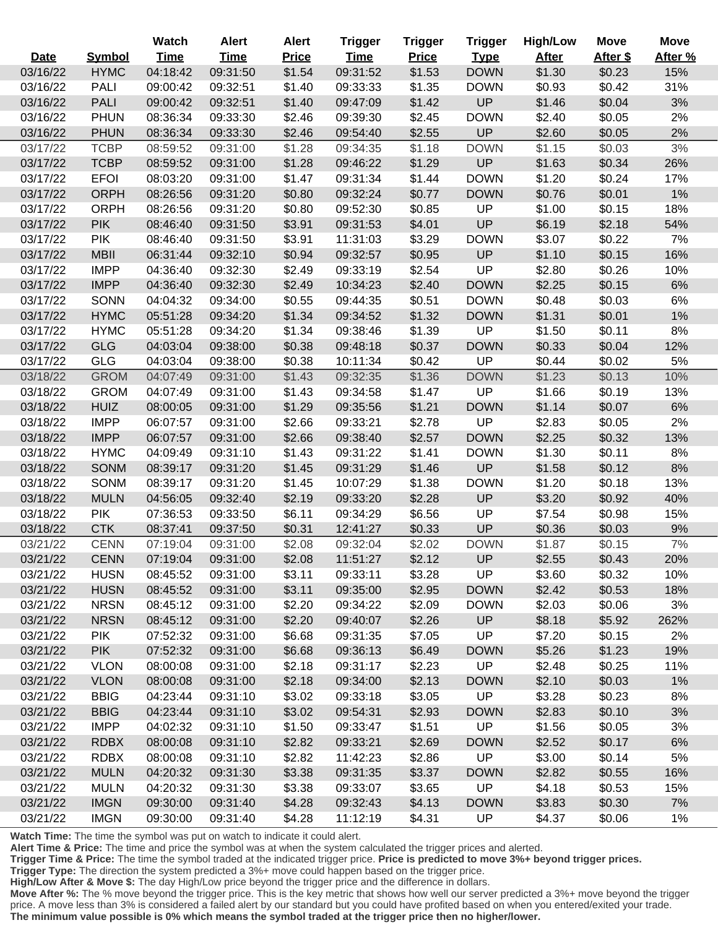|             |               | Watch       | <b>Alert</b> | <b>Alert</b> | <b>Trigger</b> | <b>Trigger</b> | <b>Trigger</b> | <b>High/Low</b> | <b>Move</b> | <b>Move</b> |
|-------------|---------------|-------------|--------------|--------------|----------------|----------------|----------------|-----------------|-------------|-------------|
| <b>Date</b> | <b>Symbol</b> | <b>Time</b> | <b>Time</b>  | <b>Price</b> | <b>Time</b>    | <b>Price</b>   | <b>Type</b>    | <b>After</b>    | After \$    | After %     |
| 03/16/22    | <b>HYMC</b>   | 04:18:42    | 09:31:50     | \$1.54       | 09:31:52       | \$1.53         | <b>DOWN</b>    | \$1.30          | \$0.23      | 15%         |
| 03/16/22    | <b>PALI</b>   | 09:00:42    | 09:32:51     | \$1.40       | 09:33:33       | \$1.35         | <b>DOWN</b>    | \$0.93          | \$0.42      | 31%         |
| 03/16/22    | <b>PALI</b>   | 09:00:42    | 09:32:51     | \$1.40       | 09:47:09       | \$1.42         | UP             | \$1.46          | \$0.04      | 3%          |
| 03/16/22    | <b>PHUN</b>   | 08:36:34    | 09:33:30     | \$2.46       | 09:39:30       | \$2.45         | <b>DOWN</b>    | \$2.40          | \$0.05      | 2%          |
| 03/16/22    | <b>PHUN</b>   | 08:36:34    | 09:33:30     | \$2.46       | 09:54:40       | \$2.55         | UP             | \$2.60          | \$0.05      | 2%          |
| 03/17/22    | <b>TCBP</b>   | 08:59:52    | 09:31:00     | \$1.28       | 09:34:35       | \$1.18         | <b>DOWN</b>    | \$1.15          | \$0.03      | 3%          |
| 03/17/22    | <b>TCBP</b>   | 08:59:52    | 09:31:00     | \$1.28       | 09:46:22       | \$1.29         | UP             | \$1.63          | \$0.34      | 26%         |
| 03/17/22    | <b>EFOI</b>   | 08:03:20    | 09:31:00     | \$1.47       | 09:31:34       | \$1.44         | <b>DOWN</b>    | \$1.20          | \$0.24      | 17%         |
| 03/17/22    | <b>ORPH</b>   | 08:26:56    | 09:31:20     | \$0.80       | 09:32:24       | \$0.77         | <b>DOWN</b>    | \$0.76          | \$0.01      | 1%          |
| 03/17/22    | <b>ORPH</b>   | 08:26:56    | 09:31:20     | \$0.80       | 09:52:30       | \$0.85         | UP             | \$1.00          | \$0.15      | 18%         |
| 03/17/22    | <b>PIK</b>    | 08:46:40    | 09:31:50     | \$3.91       | 09:31:53       | \$4.01         | UP             | \$6.19          | \$2.18      | 54%         |
| 03/17/22    | <b>PIK</b>    | 08:46:40    | 09:31:50     | \$3.91       | 11:31:03       | \$3.29         | <b>DOWN</b>    | \$3.07          | \$0.22      | 7%          |
| 03/17/22    | <b>MBII</b>   | 06:31:44    | 09:32:10     | \$0.94       | 09:32:57       | \$0.95         | UP             | \$1.10          | \$0.15      | 16%         |
| 03/17/22    | <b>IMPP</b>   | 04:36:40    | 09:32:30     | \$2.49       | 09:33:19       | \$2.54         | UP             | \$2.80          | \$0.26      | 10%         |
| 03/17/22    | <b>IMPP</b>   | 04:36:40    | 09:32:30     | \$2.49       | 10:34:23       | \$2.40         | <b>DOWN</b>    | \$2.25          | \$0.15      | 6%          |
| 03/17/22    | <b>SONN</b>   | 04:04:32    | 09:34:00     | \$0.55       | 09:44:35       | \$0.51         | <b>DOWN</b>    | \$0.48          | \$0.03      | 6%          |
| 03/17/22    | <b>HYMC</b>   | 05:51:28    | 09:34:20     | \$1.34       | 09:34:52       | \$1.32         | <b>DOWN</b>    | \$1.31          | \$0.01      | 1%          |
| 03/17/22    | <b>HYMC</b>   | 05:51:28    | 09:34:20     | \$1.34       | 09:38:46       | \$1.39         | UP             | \$1.50          | \$0.11      | 8%          |
| 03/17/22    | <b>GLG</b>    | 04:03:04    | 09:38:00     | \$0.38       | 09:48:18       | \$0.37         | <b>DOWN</b>    | \$0.33          | \$0.04      | 12%         |
| 03/17/22    | <b>GLG</b>    | 04:03:04    | 09:38:00     | \$0.38       | 10:11:34       | \$0.42         | UP             | \$0.44          | \$0.02      | 5%          |
| 03/18/22    | <b>GROM</b>   | 04:07:49    | 09:31:00     | \$1.43       | 09:32:35       | \$1.36         | <b>DOWN</b>    | \$1.23          | \$0.13      | 10%         |
| 03/18/22    | <b>GROM</b>   | 04:07:49    | 09:31:00     | \$1.43       | 09:34:58       | \$1.47         | UP             | \$1.66          | \$0.19      | 13%         |
| 03/18/22    | <b>HUIZ</b>   | 08:00:05    | 09:31:00     | \$1.29       | 09:35:56       | \$1.21         | <b>DOWN</b>    | \$1.14          | \$0.07      | 6%          |
| 03/18/22    | <b>IMPP</b>   | 06:07:57    | 09:31:00     | \$2.66       | 09:33:21       | \$2.78         | UP             | \$2.83          | \$0.05      | 2%          |
| 03/18/22    | <b>IMPP</b>   | 06:07:57    | 09:31:00     | \$2.66       | 09:38:40       | \$2.57         | <b>DOWN</b>    | \$2.25          | \$0.32      | 13%         |
| 03/18/22    | <b>HYMC</b>   | 04:09:49    | 09:31:10     | \$1.43       | 09:31:22       | \$1.41         | <b>DOWN</b>    | \$1.30          | \$0.11      | 8%          |
| 03/18/22    | <b>SONM</b>   | 08:39:17    | 09:31:20     | \$1.45       | 09:31:29       | \$1.46         | UP             | \$1.58          | \$0.12      | 8%          |
| 03/18/22    | SONM          | 08:39:17    | 09:31:20     | \$1.45       | 10:07:29       | \$1.38         | <b>DOWN</b>    | \$1.20          | \$0.18      | 13%         |
| 03/18/22    | <b>MULN</b>   | 04:56:05    | 09:32:40     | \$2.19       | 09:33:20       | \$2.28         | UP             | \$3.20          | \$0.92      | 40%         |
| 03/18/22    | <b>PIK</b>    | 07:36:53    | 09:33:50     | \$6.11       | 09:34:29       | \$6.56         | UP             | \$7.54          | \$0.98      | 15%         |
| 03/18/22    | <b>CTK</b>    | 08:37:41    | 09:37:50     | \$0.31       | 12:41:27       | \$0.33         | UP             | \$0.36          | \$0.03      | 9%          |
| 03/21/22    | <b>CENN</b>   | 07:19:04    | 09:31:00     | \$2.08       | 09:32:04       | \$2.02         | <b>DOWN</b>    | \$1.87          | \$0.15      | 7%          |
| 03/21/22    | <b>CENN</b>   | 07:19:04    | 09:31:00     | \$2.08       | 11:51:27       | \$2.12         | <b>UP</b>      | \$2.55          | \$0.43      | 20%         |
| 03/21/22    | <b>HUSN</b>   | 08:45:52    | 09:31:00     | \$3.11       | 09:33:11       | \$3.28         | UP             | \$3.60          | \$0.32      | 10%         |
| 03/21/22    | <b>HUSN</b>   | 08:45:52    | 09:31:00     | \$3.11       | 09:35:00       | \$2.95         | <b>DOWN</b>    | \$2.42          | \$0.53      | 18%         |
| 03/21/22    | <b>NRSN</b>   | 08:45:12    | 09:31:00     | \$2.20       | 09:34:22       | \$2.09         | <b>DOWN</b>    | \$2.03          | \$0.06      | 3%          |
| 03/21/22    | <b>NRSN</b>   | 08:45:12    | 09:31:00     | \$2.20       | 09:40:07       | \$2.26         | <b>UP</b>      | \$8.18          | \$5.92      | 262%        |
| 03/21/22    | <b>PIK</b>    | 07:52:32    | 09:31:00     | \$6.68       | 09:31:35       | \$7.05         | UP             | \$7.20          | \$0.15      | 2%          |
| 03/21/22    | <b>PIK</b>    | 07:52:32    | 09:31:00     | \$6.68       | 09:36:13       | \$6.49         | <b>DOWN</b>    | \$5.26          | \$1.23      | 19%         |
| 03/21/22    | <b>VLON</b>   | 08:00:08    | 09:31:00     | \$2.18       | 09:31:17       | \$2.23         | UP             | \$2.48          | \$0.25      | 11%         |
| 03/21/22    | <b>VLON</b>   | 08:00:08    | 09:31:00     | \$2.18       | 09:34:00       | \$2.13         | <b>DOWN</b>    | \$2.10          | \$0.03      | 1%          |
| 03/21/22    | <b>BBIG</b>   | 04:23:44    | 09:31:10     | \$3.02       | 09:33:18       | \$3.05         | UP             | \$3.28          | \$0.23      | 8%          |
| 03/21/22    | <b>BBIG</b>   | 04:23:44    | 09:31:10     | \$3.02       | 09:54:31       | \$2.93         | <b>DOWN</b>    | \$2.83          | \$0.10      | 3%          |
| 03/21/22    | <b>IMPP</b>   | 04:02:32    | 09:31:10     | \$1.50       | 09:33:47       | \$1.51         | UP             | \$1.56          | \$0.05      | 3%          |
| 03/21/22    | <b>RDBX</b>   | 08:00:08    | 09:31:10     | \$2.82       | 09:33:21       | \$2.69         | <b>DOWN</b>    | \$2.52          | \$0.17      | 6%          |
| 03/21/22    | <b>RDBX</b>   | 08:00:08    | 09:31:10     | \$2.82       | 11:42:23       | \$2.86         | <b>UP</b>      | \$3.00          | \$0.14      | 5%          |
| 03/21/22    | <b>MULN</b>   | 04:20:32    | 09:31:30     | \$3.38       | 09:31:35       | \$3.37         | <b>DOWN</b>    | \$2.82          | \$0.55      | 16%         |
| 03/21/22    | <b>MULN</b>   | 04:20:32    | 09:31:30     | \$3.38       | 09:33:07       | \$3.65         | UP             | \$4.18          | \$0.53      | 15%         |
| 03/21/22    | <b>IMGN</b>   | 09:30:00    | 09:31:40     | \$4.28       | 09:32:43       | \$4.13         | <b>DOWN</b>    | \$3.83          | \$0.30      | 7%          |
| 03/21/22    | <b>IMGN</b>   | 09:30:00    | 09:31:40     | \$4.28       | 11:12:19       | \$4.31         | UP             | \$4.37          | \$0.06      | 1%          |

 $\overline{a}$ 

Ī

i<br>L

**Alert Time & Price:** The time and price the symbol was at when the system calculated the trigger prices and alerted.

**Trigger Time & Price:** The time the symbol traded at the indicated trigger price. **Price is predicted to move 3%+ beyond trigger prices.**

**Trigger Type:** The direction the system predicted a 3%+ move could happen based on the trigger price.

**High/Low After & Move \$:** The day High/Low price beyond the trigger price and the difference in dollars.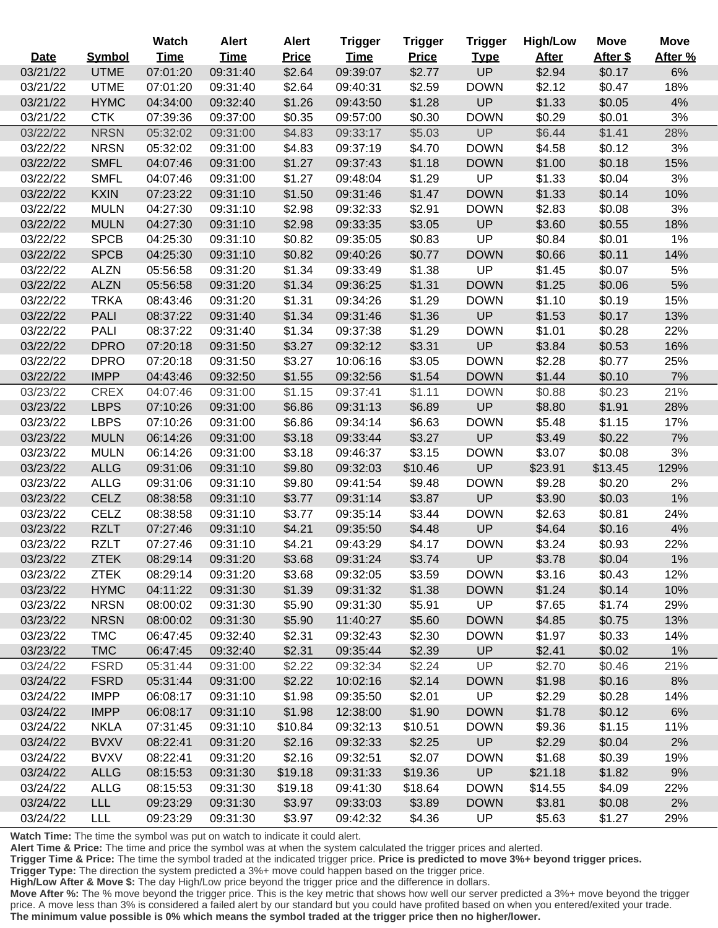|                      |                            | <b>Watch</b>         | <b>Alert</b>         | <b>Alert</b>      | <b>Trigger</b>       | <b>Trigger</b>   | <b>Trigger</b>             | <b>High/Low</b>  | <b>Move</b>      | <b>Move</b> |
|----------------------|----------------------------|----------------------|----------------------|-------------------|----------------------|------------------|----------------------------|------------------|------------------|-------------|
| <b>Date</b>          | <b>Symbol</b>              | <b>Time</b>          | <b>Time</b>          | <b>Price</b>      | <b>Time</b>          | <b>Price</b>     | <b>Type</b>                | <b>After</b>     | After \$         | After %     |
| 03/21/22             | <b>UTME</b>                | 07:01:20             | 09:31:40             | \$2.64            | 09:39:07             | \$2.77           | UP                         | \$2.94           | \$0.17           | 6%          |
| 03/21/22             | <b>UTME</b>                | 07:01:20             | 09:31:40             | \$2.64            | 09:40:31             | \$2.59           | <b>DOWN</b>                | \$2.12           | \$0.47           | 18%         |
| 03/21/22             | <b>HYMC</b>                | 04:34:00             | 09:32:40             | \$1.26            | 09:43:50             | \$1.28           | UP                         | \$1.33           | \$0.05           | 4%          |
| 03/21/22             | <b>CTK</b>                 | 07:39:36             | 09:37:00             | \$0.35            | 09:57:00             | \$0.30           | <b>DOWN</b>                | \$0.29           | \$0.01           | 3%          |
| 03/22/22             | <b>NRSN</b>                | 05:32:02             | 09:31:00             | \$4.83            | 09:33:17             | \$5.03           | UP                         | \$6.44           | \$1.41           | 28%         |
| 03/22/22             | <b>NRSN</b>                | 05:32:02             | 09:31:00             | \$4.83            | 09:37:19             | \$4.70           | <b>DOWN</b>                | \$4.58           | \$0.12           | 3%          |
| 03/22/22             | <b>SMFL</b>                | 04:07:46             | 09:31:00             | \$1.27            | 09:37:43             | \$1.18           | <b>DOWN</b>                | \$1.00           | \$0.18           | 15%         |
| 03/22/22             | <b>SMFL</b>                | 04:07:46             | 09:31:00             | \$1.27            | 09:48:04             | \$1.29           | UP                         | \$1.33           | \$0.04           | 3%          |
| 03/22/22             | <b>KXIN</b>                | 07:23:22             | 09:31:10             | \$1.50            | 09:31:46             | \$1.47           | <b>DOWN</b>                | \$1.33           | \$0.14           | 10%         |
| 03/22/22             | <b>MULN</b>                | 04:27:30             | 09:31:10             | \$2.98            | 09:32:33             | \$2.91           | <b>DOWN</b>                | \$2.83           | \$0.08           | 3%          |
| 03/22/22             | <b>MULN</b>                | 04:27:30             | 09:31:10             | \$2.98            | 09:33:35             | \$3.05           | <b>UP</b>                  | \$3.60           | \$0.55           | 18%         |
| 03/22/22             | <b>SPCB</b>                | 04:25:30             | 09:31:10             | \$0.82            | 09:35:05             | \$0.83           | UP                         | \$0.84           | \$0.01           | 1%          |
| 03/22/22             | <b>SPCB</b>                | 04:25:30             | 09:31:10             | \$0.82            | 09:40:26             | \$0.77           | <b>DOWN</b>                | \$0.66           | \$0.11           | 14%         |
| 03/22/22             | <b>ALZN</b>                | 05:56:58             | 09:31:20             | \$1.34            | 09:33:49             | \$1.38           | UP                         | \$1.45           | \$0.07           | 5%          |
| 03/22/22             | <b>ALZN</b>                | 05:56:58             | 09:31:20             | \$1.34            | 09:36:25             | \$1.31           | <b>DOWN</b>                | \$1.25           | \$0.06           | 5%          |
| 03/22/22             | <b>TRKA</b>                | 08:43:46             | 09:31:20             | \$1.31            | 09:34:26             | \$1.29           | <b>DOWN</b>                | \$1.10           | \$0.19           | 15%         |
| 03/22/22             | <b>PALI</b>                | 08:37:22             | 09:31:40             | \$1.34            | 09:31:46             | \$1.36           | UP                         | \$1.53           | \$0.17           | 13%         |
| 03/22/22             | <b>PALI</b>                | 08:37:22             | 09:31:40             | \$1.34            | 09:37:38             | \$1.29           | <b>DOWN</b>                | \$1.01           | \$0.28           | 22%         |
| 03/22/22             | <b>DPRO</b>                | 07:20:18             | 09:31:50             | \$3.27            | 09:32:12             | \$3.31           | UP                         | \$3.84           | \$0.53           | 16%         |
| 03/22/22             | <b>DPRO</b>                | 07:20:18             | 09:31:50             | \$3.27            | 10:06:16             | \$3.05           | <b>DOWN</b>                | \$2.28           | \$0.77           | 25%         |
| 03/22/22             | <b>IMPP</b>                | 04:43:46             | 09:32:50             | \$1.55            | 09:32:56             | \$1.54           | <b>DOWN</b>                | \$1.44           | \$0.10           | 7%          |
| 03/23/22             | <b>CREX</b>                | 04:07:46             | 09:31:00             | \$1.15            | 09:37:41             | \$1.11           | <b>DOWN</b>                | \$0.88           | \$0.23           | 21%         |
| 03/23/22             | <b>LBPS</b>                | 07:10:26             | 09:31:00             | \$6.86            | 09:31:13             | \$6.89           | UP                         | \$8.80           | \$1.91           | 28%         |
| 03/23/22             | <b>LBPS</b>                | 07:10:26             | 09:31:00             | \$6.86            | 09:34:14             | \$6.63           | <b>DOWN</b>                | \$5.48           | \$1.15           | 17%         |
| 03/23/22             | <b>MULN</b>                | 06:14:26             | 09:31:00             | \$3.18            | 09:33:44             | \$3.27           | UP                         | \$3.49           | \$0.22           | 7%          |
| 03/23/22             | <b>MULN</b>                | 06:14:26             | 09:31:00             | \$3.18            | 09:46:37             | \$3.15           | <b>DOWN</b>                | \$3.07           | \$0.08           | 3%          |
| 03/23/22             | <b>ALLG</b>                | 09:31:06             | 09:31:10             | \$9.80            | 09:32:03             | \$10.46          | UP                         | \$23.91          | \$13.45          | 129%        |
| 03/23/22             | <b>ALLG</b>                | 09:31:06             | 09:31:10             | \$9.80            | 09:41:54             | \$9.48           | <b>DOWN</b>                | \$9.28           | \$0.20           | 2%          |
| 03/23/22             | <b>CELZ</b>                | 08:38:58             | 09:31:10             | \$3.77            | 09:31:14             | \$3.87           | <b>UP</b>                  | \$3.90           | \$0.03           | 1%          |
| 03/23/22             | <b>CELZ</b>                | 08:38:58             | 09:31:10             | \$3.77            | 09:35:14             | \$3.44           | <b>DOWN</b>                | \$2.63           | \$0.81           | 24%         |
| 03/23/22             | <b>RZLT</b>                | 07:27:46             | 09:31:10             | \$4.21            | 09:35:50             | \$4.48           | UP                         | \$4.64           | \$0.16           | 4%          |
| 03/23/22             | <b>RZLT</b>                | 07:27:46             | 09:31:10             | \$4.21            | 09:43:29             | \$4.17           | <b>DOWN</b>                | \$3.24           | \$0.93           | 22%         |
| 03/23/22             | <b>ZTEK</b>                | 08:29:14             | 09:31:20             | \$3.68            | 09:31:24             | \$3.74           | <b>Example UP</b>          | \$3.78           | \$0.04           | 1%          |
| 03/23/22             | <b>ZTEK</b>                | 08:29:14             | 09:31:20             | \$3.68            | 09:32:05             | \$3.59           | <b>DOWN</b>                | \$3.16           | \$0.43           | 12%         |
| 03/23/22             | <b>HYMC</b>                | 04:11:22             | 09:31:30             | \$1.39            | 09:31:32             | \$1.38           | <b>DOWN</b>                | \$1.24           | \$0.14           | 10%         |
| 03/23/22             | <b>NRSN</b>                | 08:00:02             | 09:31:30             | \$5.90            | 09:31:30             | \$5.91           | <b>UP</b>                  | \$7.65           | \$1.74           | 29%         |
| 03/23/22             | <b>NRSN</b>                | 08:00:02             | 09:31:30             | \$5.90            | 11:40:27             | \$5.60           | <b>DOWN</b>                | \$4.85           | \$0.75           | 13%         |
| 03/23/22             | <b>TMC</b>                 | 06:47:45             | 09:32:40             | \$2.31            | 09:32:43             | \$2.30           | <b>DOWN</b>                | \$1.97           | \$0.33           | 14%         |
| 03/23/22             | <b>TMC</b>                 | 06:47:45             | 09:32:40             | \$2.31            | 09:35:44             | \$2.39           | <b>UP</b><br><b>UP</b>     | \$2.41           | \$0.02           | 1%          |
| 03/24/22             | <b>FSRD</b>                | 05:31:44             | 09:31:00             | \$2.22            | 09:32:34             | \$2.24           |                            | \$2.70           | \$0.46           | 21%         |
| 03/24/22             | <b>FSRD</b>                | 05:31:44             | 09:31:00             | \$2.22            | 10:02:16             | \$2.14           | <b>DOWN</b>                | \$1.98           | \$0.16           | 8%          |
| 03/24/22             | <b>IMPP</b>                | 06:08:17             | 09:31:10             | \$1.98            | 09:35:50             | \$2.01           | <b>UP</b>                  | \$2.29           | \$0.28           | 14%         |
| 03/24/22<br>03/24/22 | <b>IMPP</b><br><b>NKLA</b> | 06:08:17<br>07:31:45 | 09:31:10<br>09:31:10 | \$1.98<br>\$10.84 | 12:38:00<br>09:32:13 | \$1.90           | <b>DOWN</b><br><b>DOWN</b> | \$1.78<br>\$9.36 | \$0.12           | 6%<br>11%   |
|                      | <b>BVXV</b>                |                      |                      | \$2.16            |                      | \$10.51          | UP                         | \$2.29           | \$1.15<br>\$0.04 |             |
| 03/24/22<br>03/24/22 | <b>BVXV</b>                | 08:22:41<br>08:22:41 | 09:31:20<br>09:31:20 | \$2.16            | 09:32:33<br>09:32:51 | \$2.25<br>\$2.07 | <b>DOWN</b>                | \$1.68           | \$0.39           | 2%<br>19%   |
| 03/24/22             | <b>ALLG</b>                | 08:15:53             | 09:31:30             | \$19.18           | 09:31:33             | \$19.36          | UP                         | \$21.18          | \$1.82           | 9%          |
| 03/24/22             | <b>ALLG</b>                | 08:15:53             | 09:31:30             | \$19.18           | 09:41:30             | \$18.64          | <b>DOWN</b>                | \$14.55          | \$4.09           | 22%         |
| 03/24/22             | <b>LLL</b>                 | 09:23:29             | 09:31:30             | \$3.97            | 09:33:03             | \$3.89           | <b>DOWN</b>                | \$3.81           | \$0.08           | 2%          |
| 03/24/22             | LLL                        | 09:23:29             | 09:31:30             | \$3.97            | 09:42:32             | \$4.36           | <b>UP</b>                  | \$5.63           | \$1.27           | 29%         |
|                      |                            |                      |                      |                   |                      |                  |                            |                  |                  |             |

 $\overline{a}$ 

**Alert Time & Price:** The time and price the symbol was at when the system calculated the trigger prices and alerted.

**Trigger Time & Price:** The time the symbol traded at the indicated trigger price. **Price is predicted to move 3%+ beyond trigger prices.**

**Trigger Type:** The direction the system predicted a 3%+ move could happen based on the trigger price.

**High/Low After & Move \$:** The day High/Low price beyond the trigger price and the difference in dollars.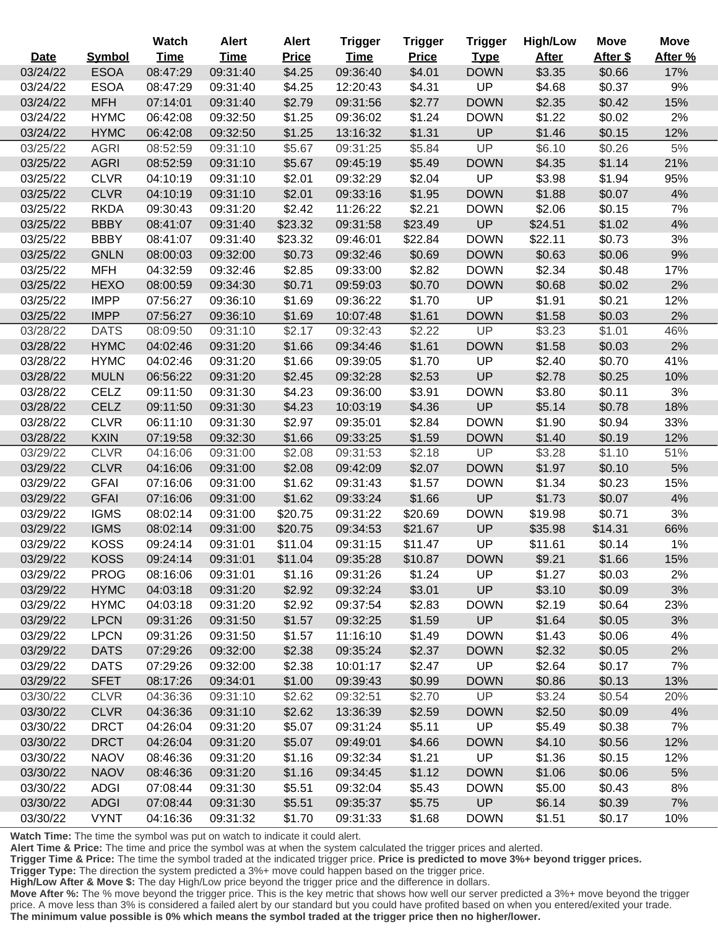|          |               | <b>Watch</b> | <b>Alert</b> | <b>Alert</b> | <b>Trigger</b> | <b>Trigger</b> | <b>Trigger</b> | <b>High/Low</b> | <b>Move</b> | <b>Move</b> |
|----------|---------------|--------------|--------------|--------------|----------------|----------------|----------------|-----------------|-------------|-------------|
| Date     | <b>Symbol</b> | <b>Time</b>  | <b>Time</b>  | <b>Price</b> | <b>Time</b>    | <b>Price</b>   | <b>Type</b>    | <b>After</b>    | After \$    | After %     |
| 03/24/22 | <b>ESOA</b>   | 08:47:29     | 09:31:40     | \$4.25       | 09:36:40       | \$4.01         | <b>DOWN</b>    | \$3.35          | \$0.66      | 17%         |
| 03/24/22 | <b>ESOA</b>   | 08:47:29     | 09:31:40     | \$4.25       | 12:20:43       | \$4.31         | UP             | \$4.68          | \$0.37      | 9%          |
| 03/24/22 | <b>MFH</b>    | 07:14:01     | 09:31:40     | \$2.79       | 09:31:56       | \$2.77         | <b>DOWN</b>    | \$2.35          | \$0.42      | 15%         |
| 03/24/22 | <b>HYMC</b>   | 06:42:08     | 09:32:50     | \$1.25       | 09:36:02       | \$1.24         | <b>DOWN</b>    | \$1.22          | \$0.02      | 2%          |
| 03/24/22 | <b>HYMC</b>   | 06:42:08     | 09:32:50     | \$1.25       | 13:16:32       | \$1.31         | UP             | \$1.46          | \$0.15      | 12%         |
| 03/25/22 | <b>AGRI</b>   | 08:52:59     | 09:31:10     | \$5.67       | 09:31:25       | \$5.84         | UP             | \$6.10          | \$0.26      | 5%          |
| 03/25/22 | <b>AGRI</b>   | 08:52:59     | 09:31:10     | \$5.67       | 09:45:19       | \$5.49         | <b>DOWN</b>    | \$4.35          | \$1.14      | 21%         |
| 03/25/22 | <b>CLVR</b>   | 04:10:19     | 09:31:10     | \$2.01       | 09:32:29       | \$2.04         | UP             | \$3.98          | \$1.94      | 95%         |
| 03/25/22 | <b>CLVR</b>   | 04:10:19     | 09:31:10     | \$2.01       | 09:33:16       | \$1.95         | <b>DOWN</b>    | \$1.88          | \$0.07      | 4%          |
| 03/25/22 | <b>RKDA</b>   | 09:30:43     | 09:31:20     | \$2.42       | 11:26:22       | \$2.21         | <b>DOWN</b>    | \$2.06          | \$0.15      | 7%          |
| 03/25/22 | <b>BBBY</b>   | 08:41:07     | 09:31:40     | \$23.32      | 09:31:58       | \$23.49        | UP             | \$24.51         | \$1.02      | 4%          |
| 03/25/22 | <b>BBBY</b>   | 08:41:07     | 09:31:40     | \$23.32      | 09:46:01       | \$22.84        | <b>DOWN</b>    | \$22.11         | \$0.73      | 3%          |
| 03/25/22 | <b>GNLN</b>   | 08:00:03     | 09:32:00     | \$0.73       | 09:32:46       | \$0.69         | <b>DOWN</b>    | \$0.63          | \$0.06      | 9%          |
| 03/25/22 | <b>MFH</b>    | 04:32:59     | 09:32:46     | \$2.85       | 09:33:00       | \$2.82         | <b>DOWN</b>    | \$2.34          | \$0.48      | 17%         |
| 03/25/22 | <b>HEXO</b>   | 08:00:59     | 09:34:30     | \$0.71       | 09:59:03       | \$0.70         | <b>DOWN</b>    | \$0.68          | \$0.02      | 2%          |
| 03/25/22 | <b>IMPP</b>   | 07:56:27     | 09:36:10     | \$1.69       | 09:36:22       | \$1.70         | UP             | \$1.91          | \$0.21      | 12%         |
| 03/25/22 | <b>IMPP</b>   | 07:56:27     | 09:36:10     | \$1.69       | 10:07:48       | \$1.61         | <b>DOWN</b>    | \$1.58          | \$0.03      | 2%          |
| 03/28/22 | <b>DATS</b>   | 08:09:50     | 09:31:10     | \$2.17       | 09:32:43       | \$2.22         | UP             | \$3.23          | \$1.01      | 46%         |
| 03/28/22 | <b>HYMC</b>   | 04:02:46     | 09:31:20     | \$1.66       | 09:34:46       | \$1.61         | <b>DOWN</b>    | \$1.58          | \$0.03      | 2%          |
| 03/28/22 | <b>HYMC</b>   | 04:02:46     | 09:31:20     | \$1.66       | 09:39:05       | \$1.70         | UP             | \$2.40          | \$0.70      | 41%         |
| 03/28/22 | <b>MULN</b>   | 06:56:22     | 09:31:20     | \$2.45       | 09:32:28       | \$2.53         | UP             | \$2.78          | \$0.25      | 10%         |
| 03/28/22 | <b>CELZ</b>   | 09:11:50     | 09:31:30     | \$4.23       | 09:36:00       | \$3.91         | <b>DOWN</b>    | \$3.80          | \$0.11      | 3%          |
| 03/28/22 | <b>CELZ</b>   | 09:11:50     | 09:31:30     | \$4.23       | 10:03:19       | \$4.36         | UP             | \$5.14          | \$0.78      | 18%         |
| 03/28/22 | <b>CLVR</b>   | 06:11:10     | 09:31:30     | \$2.97       | 09:35:01       | \$2.84         | <b>DOWN</b>    | \$1.90          | \$0.94      | 33%         |
| 03/28/22 | <b>KXIN</b>   | 07:19:58     | 09:32:30     | \$1.66       | 09:33:25       | \$1.59         | <b>DOWN</b>    | \$1.40          | \$0.19      | 12%         |
| 03/29/22 | <b>CLVR</b>   | 04:16:06     | 09:31:00     | \$2.08       | 09:31:53       | \$2.18         | <b>UP</b>      | \$3.28          | \$1.10      | 51%         |
| 03/29/22 | <b>CLVR</b>   | 04:16:06     | 09:31:00     | \$2.08       | 09:42:09       | \$2.07         | <b>DOWN</b>    | \$1.97          | \$0.10      | 5%          |
| 03/29/22 | <b>GFAI</b>   | 07:16:06     | 09:31:00     | \$1.62       | 09:31:43       | \$1.57         | <b>DOWN</b>    | \$1.34          | \$0.23      | 15%         |
| 03/29/22 | <b>GFAI</b>   | 07:16:06     | 09:31:00     | \$1.62       | 09:33:24       | \$1.66         | UP             | \$1.73          | \$0.07      | 4%          |
| 03/29/22 | <b>IGMS</b>   | 08:02:14     | 09:31:00     | \$20.75      | 09:31:22       | \$20.69        | <b>DOWN</b>    | \$19.98         | \$0.71      | 3%          |
| 03/29/22 | <b>IGMS</b>   | 08:02:14     | 09:31:00     | \$20.75      | 09:34:53       | \$21.67        | UP             | \$35.98         | \$14.31     | 66%         |
| 03/29/22 | <b>KOSS</b>   | 09:24:14     | 09:31:01     | \$11.04      | 09:31:15       | \$11.47        | UP             | \$11.61         | \$0.14      | 1%          |
| 03/29/22 | <b>KOSS</b>   | 09:24:14     | 09:31:01     | \$11.04      | 09:35:28       | \$10.87        | <b>DOWN</b>    | \$9.21          | \$1.66      | 15%         |
| 03/29/22 | <b>PROG</b>   | 08:16:06     | 09:31:01     | \$1.16       | 09:31:26       | \$1.24         | UP             | \$1.27          | \$0.03      | 2%          |
| 03/29/22 | <b>HYMC</b>   | 04:03:18     | 09:31:20     | \$2.92       | 09:32:24       | \$3.01         | UP             | \$3.10          | \$0.09      | 3%          |
| 03/29/22 | <b>HYMC</b>   | 04:03:18     | 09:31:20     | \$2.92       | 09:37:54       | \$2.83         | <b>DOWN</b>    | \$2.19          | \$0.64      | 23%         |
| 03/29/22 | <b>LPCN</b>   | 09:31:26     | 09:31:50     | \$1.57       | 09:32:25       | \$1.59         | UP             | \$1.64          | \$0.05      | 3%          |
| 03/29/22 | <b>LPCN</b>   | 09:31:26     | 09:31:50     | \$1.57       | 11:16:10       | \$1.49         | <b>DOWN</b>    | \$1.43          | \$0.06      | 4%          |
| 03/29/22 | <b>DATS</b>   | 07:29:26     | 09:32:00     | \$2.38       | 09:35:24       | \$2.37         | <b>DOWN</b>    | \$2.32          | \$0.05      | 2%          |
| 03/29/22 | <b>DATS</b>   | 07:29:26     | 09:32:00     | \$2.38       | 10:01:17       | \$2.47         | UP             | \$2.64          | \$0.17      | 7%          |
| 03/29/22 | <b>SFET</b>   | 08:17:26     | 09:34:01     | \$1.00       | 09:39:43       | \$0.99         | <b>DOWN</b>    | \$0.86          | \$0.13      | 13%         |
| 03/30/22 | <b>CLVR</b>   | 04:36:36     | 09:31:10     | \$2.62       | 09:32:51       | \$2.70         | <b>UP</b>      | \$3.24          | \$0.54      | 20%         |
| 03/30/22 | <b>CLVR</b>   | 04:36:36     | 09:31:10     | \$2.62       | 13:36:39       | \$2.59         | <b>DOWN</b>    | \$2.50          | \$0.09      | 4%          |
| 03/30/22 | <b>DRCT</b>   | 04:26:04     | 09:31:20     | \$5.07       | 09:31:24       | \$5.11         | <b>UP</b>      | \$5.49          | \$0.38      | 7%          |
| 03/30/22 | <b>DRCT</b>   | 04:26:04     | 09:31:20     | \$5.07       | 09:49:01       | \$4.66         | <b>DOWN</b>    | \$4.10          | \$0.56      | 12%         |
| 03/30/22 | <b>NAOV</b>   | 08:46:36     | 09:31:20     | \$1.16       | 09:32:34       | \$1.21         | <b>UP</b>      | \$1.36          | \$0.15      | 12%         |
| 03/30/22 | <b>NAOV</b>   | 08:46:36     | 09:31:20     | \$1.16       | 09:34:45       | \$1.12         | <b>DOWN</b>    | \$1.06          | \$0.06      | 5%          |
| 03/30/22 | <b>ADGI</b>   | 07:08:44     | 09:31:30     | \$5.51       | 09:32:04       | \$5.43         | <b>DOWN</b>    | \$5.00          | \$0.43      | 8%          |
| 03/30/22 | <b>ADGI</b>   | 07:08:44     | 09:31:30     | \$5.51       | 09:35:37       | \$5.75         | UP             | \$6.14          | \$0.39      | 7%          |
| 03/30/22 | <b>VYNT</b>   | 04:16:36     | 09:31:32     | \$1.70       | 09:31:33       | \$1.68         | <b>DOWN</b>    | \$1.51          | \$0.17      | 10%         |

**Alert Time & Price:** The time and price the symbol was at when the system calculated the trigger prices and alerted.

**Trigger Time & Price:** The time the symbol traded at the indicated trigger price. **Price is predicted to move 3%+ beyond trigger prices.**

**Trigger Type:** The direction the system predicted a 3%+ move could happen based on the trigger price.

**High/Low After & Move \$:** The day High/Low price beyond the trigger price and the difference in dollars.